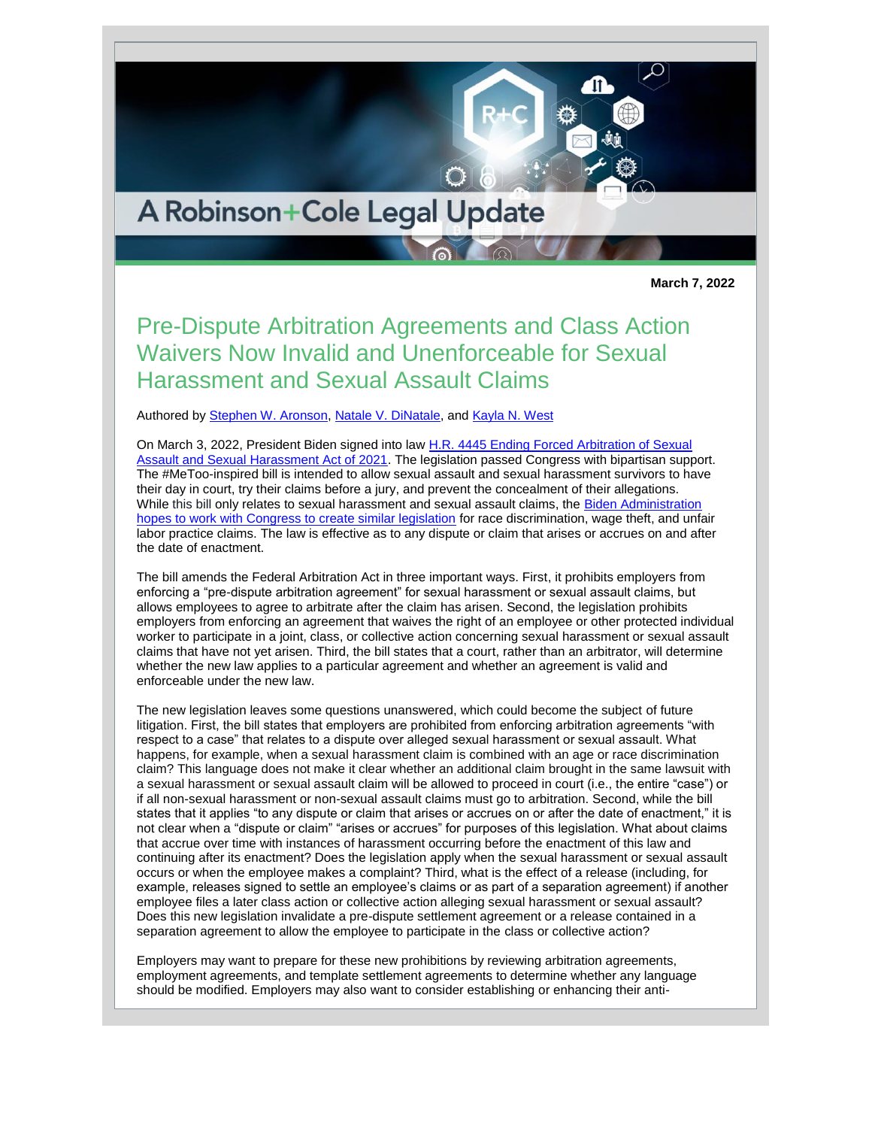A Robinson+Cole Legal Update

**March 7, 2022**

Pre-Dispute Arbitration Agreements and Class Action Waivers Now Invalid and Unenforceable for Sexual Harassment and Sexual Assault Claims

Authored by [Stephen W. Aronson,](http://www.rc.com/people/StephenWAronson.cfm) [Natale V. DiNatale,](http://www.rc.com/people/NataleVDiNatale.cfm) and [Kayla N. West](http://www.rc.com/people/KaylaNWest.cfm)

On March 3, 2022, President Biden signed into law H.R. 4445 Ending Forced Arbitration of Sexual [Assault and Sexual Harassment Act of 2021.](https://www.congress.gov/bill/117th-congress/house-bill/4445/text) The legislation passed Congress with bipartisan support. The #MeToo-inspired bill is intended to allow sexual assault and sexual harassment survivors to have their day in court, try their claims before a jury, and prevent the concealment of their allegations. While this bill only relates to sexual harassment and sexual assault claims, the Biden Administration [hopes to work with Congress to create similar legislation](https://www.whitehouse.gov/wp-content/uploads/2022/02/HR-4445-SAP.pdf) for race discrimination, wage theft, and unfair labor practice claims. The law is effective as to any dispute or claim that arises or accrues on and after the date of enactment.

The bill amends the Federal Arbitration Act in three important ways. First, it prohibits employers from enforcing a "pre-dispute arbitration agreement" for sexual harassment or sexual assault claims, but allows employees to agree to arbitrate after the claim has arisen. Second, the legislation prohibits employers from enforcing an agreement that waives the right of an employee or other protected individual worker to participate in a joint, class, or collective action concerning sexual harassment or sexual assault claims that have not yet arisen. Third, the bill states that a court, rather than an arbitrator, will determine whether the new law applies to a particular agreement and whether an agreement is valid and enforceable under the new law.

The new legislation leaves some questions unanswered, which could become the subject of future litigation. First, the bill states that employers are prohibited from enforcing arbitration agreements "with respect to a case" that relates to a dispute over alleged sexual harassment or sexual assault. What happens, for example, when a sexual harassment claim is combined with an age or race discrimination claim? This language does not make it clear whether an additional claim brought in the same lawsuit with a sexual harassment or sexual assault claim will be allowed to proceed in court (i.e., the entire "case") or if all non-sexual harassment or non-sexual assault claims must go to arbitration. Second, while the bill states that it applies "to any dispute or claim that arises or accrues on or after the date of enactment," it is not clear when a "dispute or claim" "arises or accrues" for purposes of this legislation. What about claims that accrue over time with instances of harassment occurring before the enactment of this law and continuing after its enactment? Does the legislation apply when the sexual harassment or sexual assault occurs or when the employee makes a complaint? Third, what is the effect of a release (including, for example, releases signed to settle an employee's claims or as part of a separation agreement) if another employee files a later class action or collective action alleging sexual harassment or sexual assault? Does this new legislation invalidate a pre-dispute settlement agreement or a release contained in a separation agreement to allow the employee to participate in the class or collective action?

Employers may want to prepare for these new prohibitions by reviewing arbitration agreements, employment agreements, and template settlement agreements to determine whether any language should be modified. Employers may also want to consider establishing or enhancing their anti-